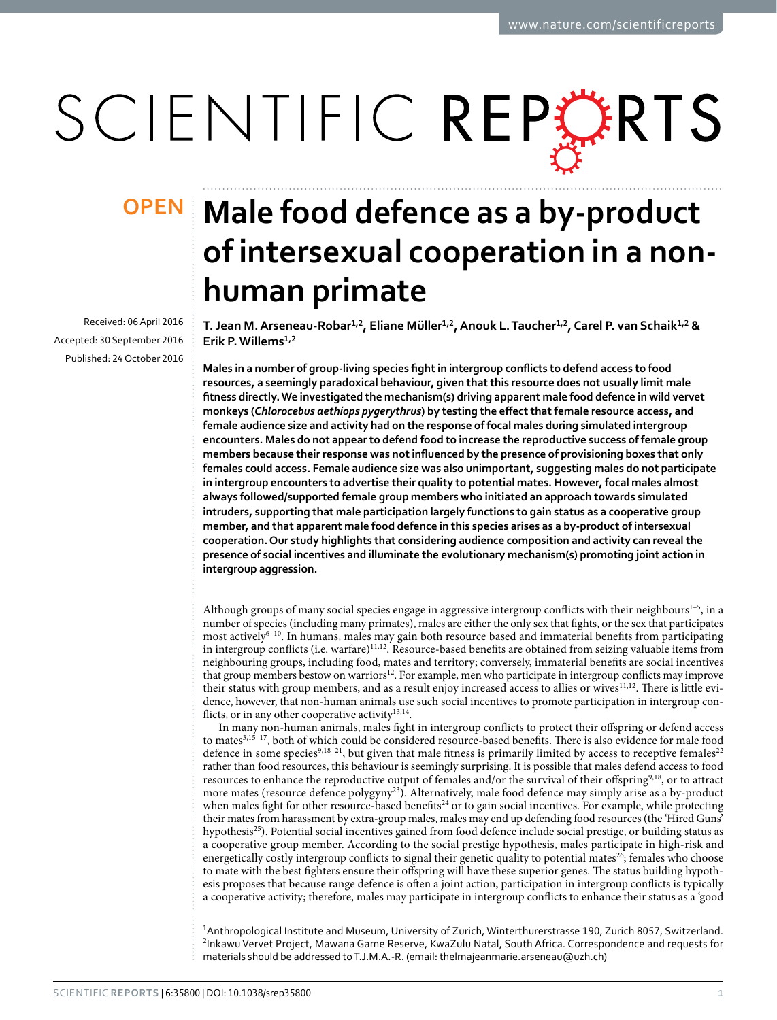# SCIENTIFIC REPERTS

Received: 06 April 2016 accepted: 30 September 2016 Published: 24 October 2016

## **Male food defence as a by-product OPENof intersexual cooperation in a nonhuman primate**

T. Jean M. Arseneau-Robar<sup>1,2</sup>, Eliane Müller<sup>1,2</sup>, Anouk L. Taucher<sup>1,2</sup>, Carel P. van Schaik<sup>1,2</sup> & **Erik P.Willems<sup>1</sup>,<sup>2</sup>**

**Males in a number of group-living species fight in intergroup conflicts to defend access to food resources, a seemingly paradoxical behaviour, given that this resource does not usually limit male fitness directly. We investigated the mechanism(s) driving apparent male food defence in wild vervet monkeys (***Chlorocebus aethiops pygerythrus***) by testing the effect that female resource access, and female audience size and activity had on the response of focal males during simulated intergroup encounters. Males do not appear to defend food to increase the reproductive success of female group members because their response was not influenced by the presence of provisioning boxes that only females could access. Female audience size was also unimportant, suggesting males do not participate in intergroup encounters to advertise their quality to potential mates. However, focal males almost always followed/supported female group members who initiated an approach towards simulated intruders, supporting that male participation largely functions to gain status as a cooperative group member, and that apparent male food defence in this species arises as a by-product of intersexual cooperation. Our study highlights that considering audience composition and activity can reveal the presence of social incentives and illuminate the evolutionary mechanism(s) promoting joint action in intergroup aggression.**

Although groups of many social species engage in aggressive intergroup conflicts with their neighbours<sup>1-5</sup>, in a number of species (including many primates), males are either the only sex that fights, or the sex that participates most actively<sup>6–10</sup>. In humans, males may gain both resource based and immaterial benefits from participating in intergroup conflicts (i.e. warfare)<sup>[11,](#page-5-2)12</sup>. Resource-based benefits are obtained from seizing valuable items from neighbouring groups, including food, mates and territory; conversely, immaterial benefits are social incentives that group members bestow on warriors<sup>[12](#page-5-3)</sup>. For example, men who participate in intergroup conflicts may improve their status with group members, and as a result enjoy increased access to allies or wives<sup>[11](#page-5-2),[12](#page-5-3)</sup>. There is little evidence, however, that non-human animals use such social incentives to promote participation in intergroup conflicts, or in any other cooperative activity $13,14$ .

In many non-human animals, males fight in intergroup conflicts to protect their offspring or defend access to mates<sup>3,15–17</sup>, both of which could be considered resource-based benefits. There is also evidence for male food defence in some species<sup>[9](#page-5-8),18-21</sup>, but given that male fitness is primarily limited by access to receptive females<sup>[22](#page-5-10)</sup> rather than food resources, this behaviour is seemingly surprising. It is possible that males defend access to food resources to enhance the reproductive output of females and/or the survival of their offsprin[g9](#page-5-8)[,18](#page-5-9), or to attract more mates (resource defence polygyny<sup>23</sup>). Alternatively, male food defence may simply arise as a by-product when males fight for other resource-based benefits<sup>24</sup> or to gain social incentives. For example, while protecting their mates from harassment by extra-group males, males may end up defending food resources (the 'Hired Guns' hypothesis<sup>25</sup>). Potential social incentives gained from food defence include social prestige, or building status as a cooperative group member. According to the social prestige hypothesis, males participate in high-risk and energetically costly intergroup conflicts to signal their genetic quality to potential mates<sup>26</sup>; females who choose to mate with the best fighters ensure their offspring will have these superior genes. The status building hypothesis proposes that because range defence is often a joint action, participation in intergroup conflicts is typically a cooperative activity; therefore, males may participate in intergroup conflicts to enhance their status as a 'good

<sup>1</sup>Anthropological Institute and Museum, University of Zurich, Winterthurerstrasse 190, Zurich 8057, Switzerland. 2Inkawu Vervet Project, Mawana Game Reserve, KwaZulu Natal, South Africa. Correspondence and requests for materials should be addressed to T.J.M.A.-R. (email: [thelmajeanmarie.arseneau@uzh.ch\)](mailto:thelmajeanmarie.arseneau@uzh.ch)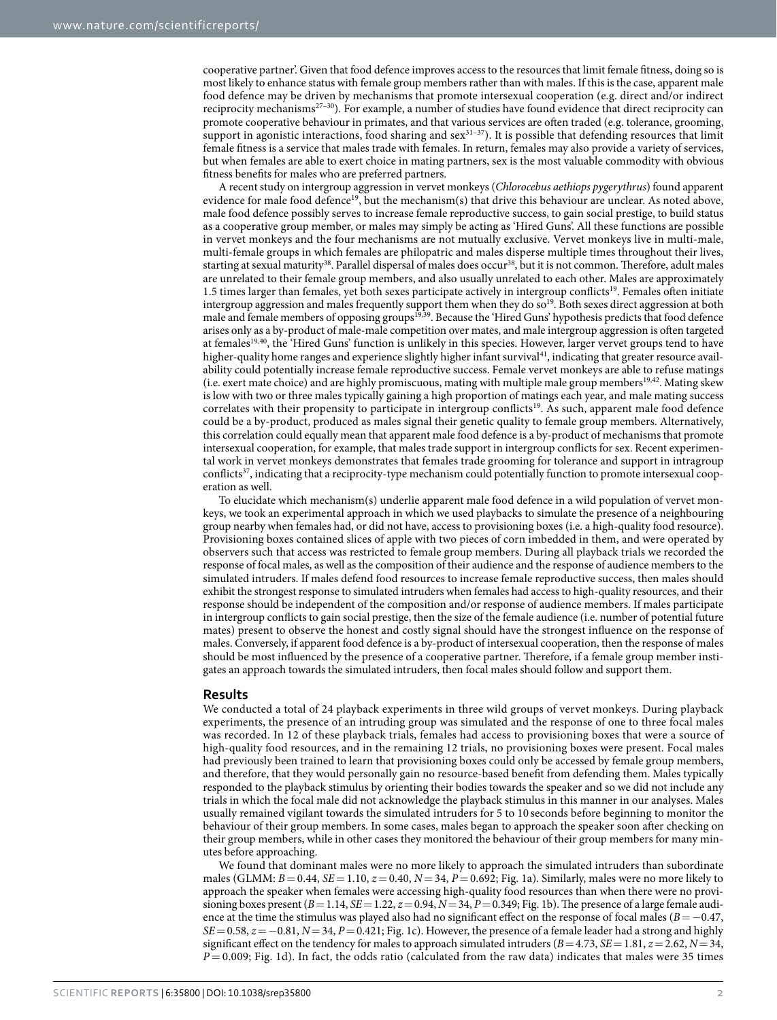cooperative partner'. Given that food defence improves access to the resources that limit female fitness, doing so is most likely to enhance status with female group members rather than with males. If this is the case, apparent male food defence may be driven by mechanisms that promote intersexual cooperation (e.g. direct and/or indirect reciprocity mechanisms[27–30](#page-6-4)). For example, a number of studies have found evidence that direct reciprocity can promote cooperative behaviour in primates, and that various services are often traded (e.g. tolerance, grooming, support in agonistic interactions, food sharing and  $sex^{31-37}$ ). It is possible that defending resources that limit female fitness is a service that males trade with females. In return, females may also provide a variety of services, but when females are able to exert choice in mating partners, sex is the most valuable commodity with obvious fitness benefits for males who are preferred partners.

A recent study on intergroup aggression in vervet monkeys (*Chlorocebus aethiops pygerythrus*) found apparent evidence for male food defence<sup>19</sup>, but the mechanism(s) that drive this behaviour are unclear. As noted above, male food defence possibly serves to increase female reproductive success, to gain social prestige, to build status as a cooperative group member, or males may simply be acting as 'Hired Guns'. All these functions are possible in vervet monkeys and the four mechanisms are not mutually exclusive. Vervet monkeys live in multi-male, multi-female groups in which females are philopatric and males disperse multiple times throughout their lives, starting at sexual maturity<sup>38</sup>. Parallel dispersal of males does occur<sup>38</sup>, but it is not common. Therefore, adult males are unrelated to their female group members, and also usually unrelated to each other. Males are approximately 1.5 times larger than females, yet both sexes participate actively in intergroup conflict[s19.](#page-5-11) Females often initiate intergroup aggression and males frequently support them when they do so<sup>19</sup>. Both sexes direct aggression at both male and female members of opposing groups<sup>[19](#page-5-11),[39](#page-6-7)</sup>. Because the 'Hired Guns' hypothesis predicts that food defence arises only as a by-product of male-male competition over mates, and male intergroup aggression is often targeted at females<sup>[19,](#page-5-11)40</sup>, the 'Hired Guns' function is unlikely in this species. However, larger vervet groups tend to have higher-quality home ranges and experience slightly higher infant survival<sup>[41](#page-6-9)</sup>, indicating that greater resource availability could potentially increase female reproductive success. Female vervet monkeys are able to refuse matings (i.e. exert mate choice) and are highly promiscuous, mating with multiple male group members<sup>[19,](#page-5-11)[42](#page-6-10)</sup>. Mating skew is low with two or three males typically gaining a high proportion of matings each year, and male mating success correlates with their propensity to participate in intergroup conflicts<sup>[19](#page-5-11)</sup>. As such, apparent male food defence could be a by-product, produced as males signal their genetic quality to female group members. Alternatively, this correlation could equally mean that apparent male food defence is a by-product of mechanisms that promote intersexual cooperation, for example, that males trade support in intergroup conflicts for sex. Recent experimental work in vervet monkeys demonstrates that females trade grooming for tolerance and support in intragroup conflicts<sup>37</sup>, indicating that a reciprocity-type mechanism could potentially function to promote intersexual cooperation as well.

To elucidate which mechanism(s) underlie apparent male food defence in a wild population of vervet monkeys, we took an experimental approach in which we used playbacks to simulate the presence of a neighbouring group nearby when females had, or did not have, access to provisioning boxes (i.e. a high-quality food resource). Provisioning boxes contained slices of apple with two pieces of corn imbedded in them, and were operated by observers such that access was restricted to female group members. During all playback trials we recorded the response of focal males, as well as the composition of their audience and the response of audience members to the simulated intruders. If males defend food resources to increase female reproductive success, then males should exhibit the strongest response to simulated intruders when females had access to high-quality resources, and their response should be independent of the composition and/or response of audience members. If males participate in intergroup conflicts to gain social prestige, then the size of the female audience (i.e. number of potential future mates) present to observe the honest and costly signal should have the strongest influence on the response of males. Conversely, if apparent food defence is a by-product of intersexual cooperation, then the response of males should be most influenced by the presence of a cooperative partner. Therefore, if a female group member instigates an approach towards the simulated intruders, then focal males should follow and support them.

### **Results**

We conducted a total of 24 playback experiments in three wild groups of vervet monkeys. During playback experiments, the presence of an intruding group was simulated and the response of one to three focal males was recorded. In 12 of these playback trials, females had access to provisioning boxes that were a source of high-quality food resources, and in the remaining 12 trials, no provisioning boxes were present. Focal males had previously been trained to learn that provisioning boxes could only be accessed by female group members, and therefore, that they would personally gain no resource-based benefit from defending them. Males typically responded to the playback stimulus by orienting their bodies towards the speaker and so we did not include any trials in which the focal male did not acknowledge the playback stimulus in this manner in our analyses. Males usually remained vigilant towards the simulated intruders for 5 to 10 seconds before beginning to monitor the behaviour of their group members. In some cases, males began to approach the speaker soon after checking on their group members, while in other cases they monitored the behaviour of their group members for many minutes before approaching.

We found that dominant males were no more likely to approach the simulated intruders than subordinate males (GLMM:  $B = 0.44$ ,  $SE = 1.10$ ,  $z = 0.40$ ,  $N = 34$ ,  $P = 0.692$ ; [Fig. 1a](#page-2-0)). Similarly, males were no more likely to approach the speaker when females were accessing high-quality food resources than when there were no provisioning boxes present  $(B=1.14, SE=1.22, z=0.94, N=34, P=0.349; Fig. 1b)$  $(B=1.14, SE=1.22, z=0.94, N=34, P=0.349; Fig. 1b)$ . The presence of a large female audience at the time the stimulus was played also had no significant effect on the response of focal males (*B*=−0.47,  $SE = 0.58$ ,  $z = -0.81$ ,  $N = 34$ ,  $P = 0.421$ ; [Fig. 1c\)](#page-2-0). However, the presence of a female leader had a strong and highly significant effect on the tendency for males to approach simulated intruders  $(B=4.73, SE=1.81, z=2.62, N=34,$ *P*= 0.009; [Fig. 1d\)](#page-2-0). In fact, the odds ratio (calculated from the raw data) indicates that males were 35 times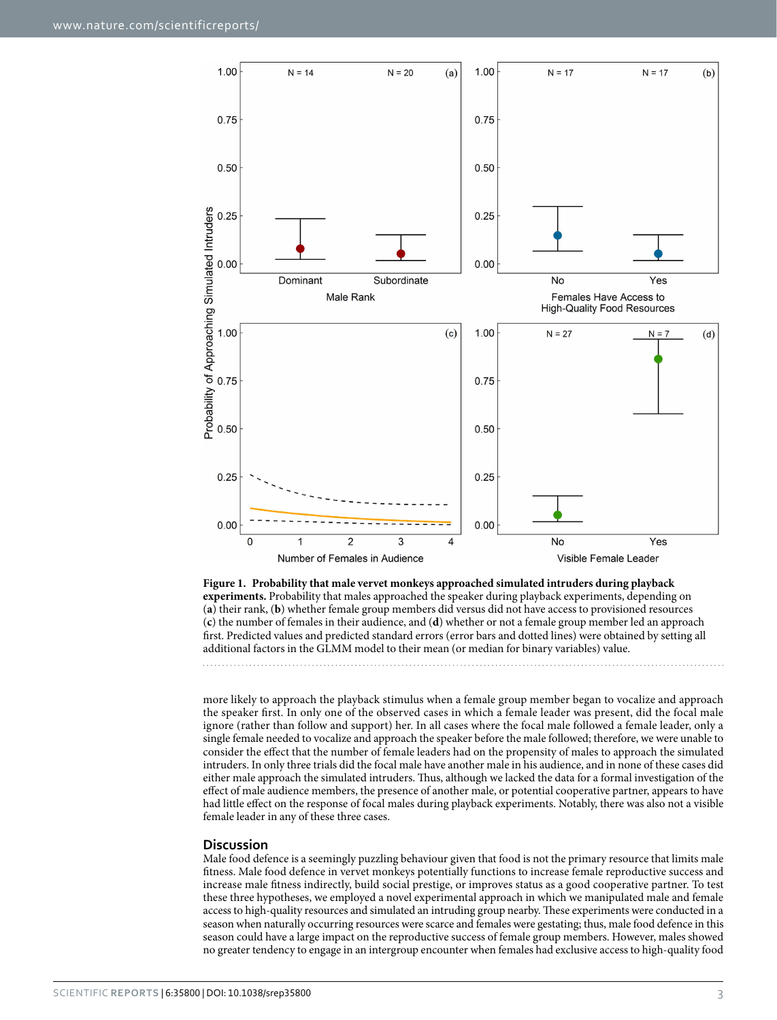

<span id="page-2-0"></span>**Figure 1. Probability that male vervet monkeys approached simulated intruders during playback experiments.** Probability that males approached the speaker during playback experiments, depending on (**a**) their rank, (**b**) whether female group members did versus did not have access to provisioned resources (**c**) the number of females in their audience, and (**d**) whether or not a female group member led an approach first. Predicted values and predicted standard errors (error bars and dotted lines) were obtained by setting all additional factors in the GLMM model to their mean (or median for binary variables) value.

more likely to approach the playback stimulus when a female group member began to vocalize and approach the speaker first. In only one of the observed cases in which a female leader was present, did the focal male ignore (rather than follow and support) her. In all cases where the focal male followed a female leader, only a single female needed to vocalize and approach the speaker before the male followed; therefore, we were unable to consider the effect that the number of female leaders had on the propensity of males to approach the simulated intruders. In only three trials did the focal male have another male in his audience, and in none of these cases did either male approach the simulated intruders. Thus, although we lacked the data for a formal investigation of the effect of male audience members, the presence of another male, or potential cooperative partner, appears to have had little effect on the response of focal males during playback experiments. Notably, there was also not a visible female leader in any of these three cases.

### **Discussion**

Male food defence is a seemingly puzzling behaviour given that food is not the primary resource that limits male fitness. Male food defence in vervet monkeys potentially functions to increase female reproductive success and increase male fitness indirectly, build social prestige, or improves status as a good cooperative partner. To test these three hypotheses, we employed a novel experimental approach in which we manipulated male and female access to high-quality resources and simulated an intruding group nearby. These experiments were conducted in a season when naturally occurring resources were scarce and females were gestating; thus, male food defence in this season could have a large impact on the reproductive success of female group members. However, males showed no greater tendency to engage in an intergroup encounter when females had exclusive access to high-quality food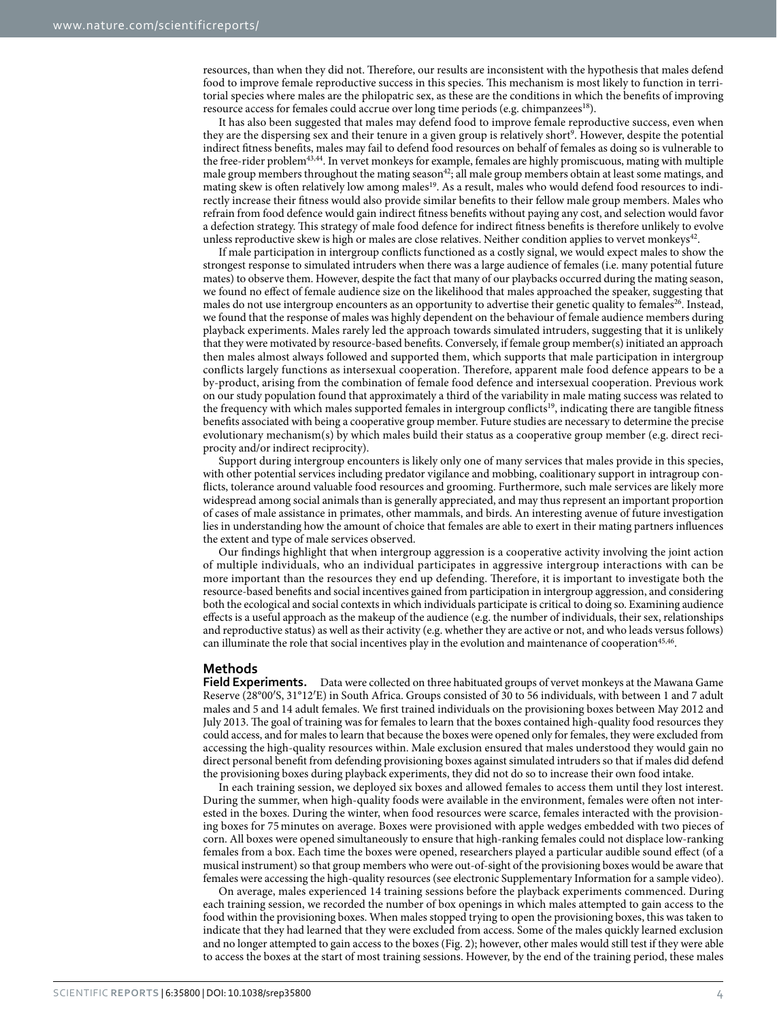resources, than when they did not. Therefore, our results are inconsistent with the hypothesis that males defend food to improve female reproductive success in this species. This mechanism is most likely to function in territorial species where males are the philopatric sex, as these are the conditions in which the benefits of improving resource access for females could accrue over long time periods (e.g. chimpanzees<sup>18</sup>).

It has also been suggested that males may defend food to improve female reproductive success, even when they are the dispersing sex and their tenure in a given group is relatively short<sup>9</sup>. However, despite the potential indirect fitness benefits, males may fail to defend food resources on behalf of females as doing so is vulnerable to the free-rider proble[m43,](#page-6-12)[44.](#page-6-13) In vervet monkeys for example, females are highly promiscuous, mating with multiple male group members throughout the mating season<sup>42</sup>; all male group members obtain at least some matings, and mating skew is often relatively low among males<sup>19</sup>. As a result, males who would defend food resources to indirectly increase their fitness would also provide similar benefits to their fellow male group members. Males who refrain from food defence would gain indirect fitness benefits without paying any cost, and selection would favor a defection strategy. This strategy of male food defence for indirect fitness benefits is therefore unlikely to evolve unless reproductive skew is high or males are close relatives. Neither condition applies to vervet monkeys<sup>42</sup>.

If male participation in intergroup conflicts functioned as a costly signal, we would expect males to show the strongest response to simulated intruders when there was a large audience of females (i.e. many potential future mates) to observe them. However, despite the fact that many of our playbacks occurred during the mating season, we found no effect of female audience size on the likelihood that males approached the speaker, suggesting that males do not use intergroup encounters as an opportunity to advertise their genetic quality to females<sup>[26](#page-6-3)</sup>. Instead, we found that the response of males was highly dependent on the behaviour of female audience members during playback experiments. Males rarely led the approach towards simulated intruders, suggesting that it is unlikely that they were motivated by resource-based benefits. Conversely, if female group member(s) initiated an approach then males almost always followed and supported them, which supports that male participation in intergroup conflicts largely functions as intersexual cooperation. Therefore, apparent male food defence appears to be a by-product, arising from the combination of female food defence and intersexual cooperation. Previous work on our study population found that approximately a third of the variability in male mating success was related to the frequency with which males supported females in intergroup conflicts<sup>[19](#page-5-11)</sup>, indicating there are tangible fitness benefits associated with being a cooperative group member. Future studies are necessary to determine the precise evolutionary mechanism(s) by which males build their status as a cooperative group member (e.g. direct reciprocity and/or indirect reciprocity).

Support during intergroup encounters is likely only one of many services that males provide in this species, with other potential services including predator vigilance and mobbing, coalitionary support in intragroup conflicts, tolerance around valuable food resources and grooming. Furthermore, such male services are likely more widespread among social animals than is generally appreciated, and may thus represent an important proportion of cases of male assistance in primates, other mammals, and birds. An interesting avenue of future investigation lies in understanding how the amount of choice that females are able to exert in their mating partners influences the extent and type of male services observed.

Our findings highlight that when intergroup aggression is a cooperative activity involving the joint action of multiple individuals, who an individual participates in aggressive intergroup interactions with can be more important than the resources they end up defending. Therefore, it is important to investigate both the resource-based benefits and social incentives gained from participation in intergroup aggression, and considering both the ecological and social contexts in which individuals participate is critical to doing so. Examining audience effects is a useful approach as the makeup of the audience (e.g. the number of individuals, their sex, relationships and reproductive status) as well as their activity (e.g. whether they are active or not, and who leads versus follows) can illuminate the role that social incentives play in the evolution and maintenance of cooperation<sup>45,46</sup>.

### **Methods**

**Field Experiments.** Data were collected on three habituated groups of vervet monkeys at the Mawana Game Reserve (28°00′S, 31°12′E) in South Africa. Groups consisted of 30 to 56 individuals, with between 1 and 7 adult males and 5 and 14 adult females. We first trained individuals on the provisioning boxes between May 2012 and July 2013. The goal of training was for females to learn that the boxes contained high-quality food resources they could access, and for males to learn that because the boxes were opened only for females, they were excluded from accessing the high-quality resources within. Male exclusion ensured that males understood they would gain no direct personal benefit from defending provisioning boxes against simulated intruders so that if males did defend the provisioning boxes during playback experiments, they did not do so to increase their own food intake.

In each training session, we deployed six boxes and allowed females to access them until they lost interest. During the summer, when high-quality foods were available in the environment, females were often not interested in the boxes. During the winter, when food resources were scarce, females interacted with the provisioning boxes for 75 minutes on average. Boxes were provisioned with apple wedges embedded with two pieces of corn. All boxes were opened simultaneously to ensure that high-ranking females could not displace low-ranking females from a box. Each time the boxes were opened, researchers played a particular audible sound effect (of a musical instrument) so that group members who were out-of-sight of the provisioning boxes would be aware that females were accessing the high-quality resources (see electronic Supplementary Information for a sample video).

On average, males experienced 14 training sessions before the playback experiments commenced. During each training session, we recorded the number of box openings in which males attempted to gain access to the food within the provisioning boxes. When males stopped trying to open the provisioning boxes, this was taken to indicate that they had learned that they were excluded from access. Some of the males quickly learned exclusion and no longer attempted to gain access to the boxes [\(Fig. 2\)](#page-4-0); however, other males would still test if they were able to access the boxes at the start of most training sessions. However, by the end of the training period, these males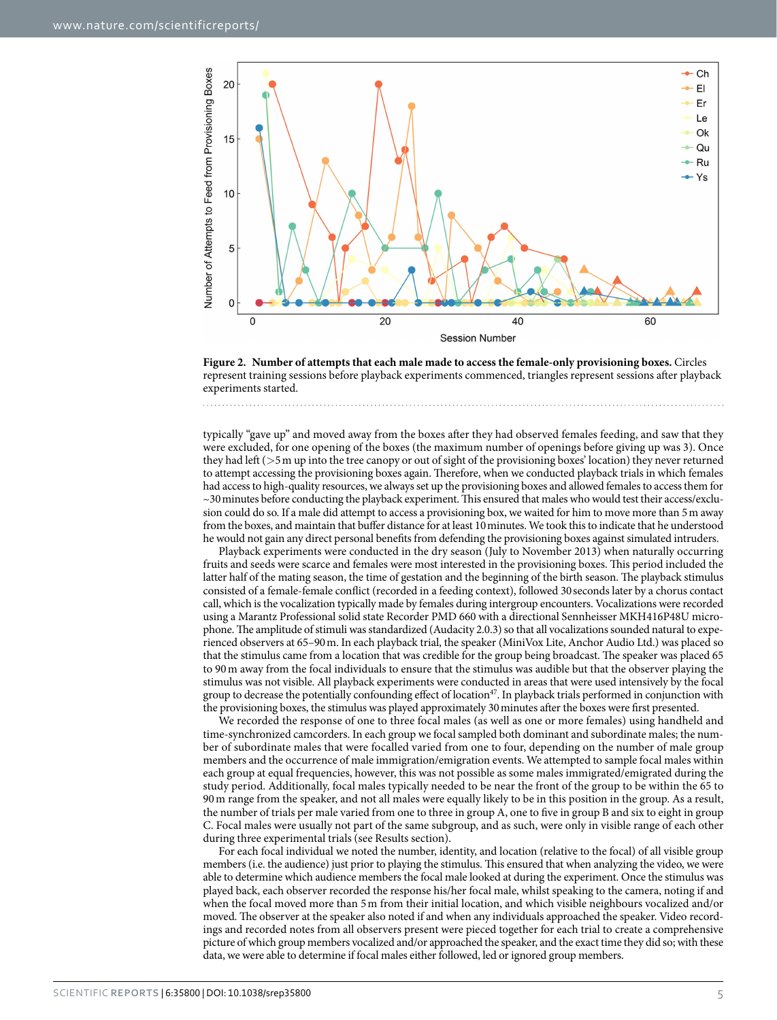

<span id="page-4-0"></span>

typically "gave up" and moved away from the boxes after they had observed females feeding, and saw that they were excluded, for one opening of the boxes (the maximum number of openings before giving up was 3). Once they had left (>5m up into the tree canopy or out of sight of the provisioning boxes' location) they never returned to attempt accessing the provisioning boxes again. Therefore, when we conducted playback trials in which females had access to high-quality resources, we always set up the provisioning boxes and allowed females to access them for ~30minutes before conducting the playback experiment. This ensured that males who would test their access/exclusion could do so. If a male did attempt to access a provisioning box, we waited for him to move more than 5m away from the boxes, and maintain that buffer distance for at least 10minutes. We took this to indicate that he understood he would not gain any direct personal benefits from defending the provisioning boxes against simulated intruders.

Playback experiments were conducted in the dry season (July to November 2013) when naturally occurring fruits and seeds were scarce and females were most interested in the provisioning boxes. This period included the latter half of the mating season, the time of gestation and the beginning of the birth season. The playback stimulus consisted of a female-female conflict (recorded in a feeding context), followed 30seconds later by a chorus contact call, which is the vocalization typically made by females during intergroup encounters. Vocalizations were recorded using a Marantz Professional solid state Recorder PMD 660 with a directional Sennheisser MKH416P48U microphone. The amplitude of stimuli was standardized (Audacity 2.0.3) so that all vocalizations sounded natural to experienced observers at 65–90m. In each playback trial, the speaker (MiniVox Lite, Anchor Audio Ltd.) was placed so that the stimulus came from a location that was credible for the group being broadcast. The speaker was placed 65 to 90m away from the focal individuals to ensure that the stimulus was audible but that the observer playing the stimulus was not visible. All playback experiments were conducted in areas that were used intensively by the focal group to decrease the potentially confounding effect of location<sup>[47](#page-6-16)</sup>. In playback trials performed in conjunction with the provisioning boxes, the stimulus was played approximately 30minutes after the boxes were first presented.

We recorded the response of one to three focal males (as well as one or more females) using handheld and time-synchronized camcorders. In each group we focal sampled both dominant and subordinate males; the number of subordinate males that were focalled varied from one to four, depending on the number of male group members and the occurrence of male immigration/emigration events. We attempted to sample focal males within each group at equal frequencies, however, this was not possible as some males immigrated/emigrated during the study period. Additionally, focal males typically needed to be near the front of the group to be within the 65 to 90m range from the speaker, and not all males were equally likely to be in this position in the group. As a result, the number of trials per male varied from one to three in group A, one to five in group B and six to eight in group C. Focal males were usually not part of the same subgroup, and as such, were only in visible range of each other during three experimental trials (see Results section).

For each focal individual we noted the number, identity, and location (relative to the focal) of all visible group members (i.e. the audience) just prior to playing the stimulus. This ensured that when analyzing the video, we were able to determine which audience members the focal male looked at during the experiment. Once the stimulus was played back, each observer recorded the response his/her focal male, whilst speaking to the camera, noting if and when the focal moved more than 5m from their initial location, and which visible neighbours vocalized and/or moved. The observer at the speaker also noted if and when any individuals approached the speaker. Video recordings and recorded notes from all observers present were pieced together for each trial to create a comprehensive picture of which group members vocalized and/or approached the speaker, and the exact time they did so; with these data, we were able to determine if focal males either followed, led or ignored group members.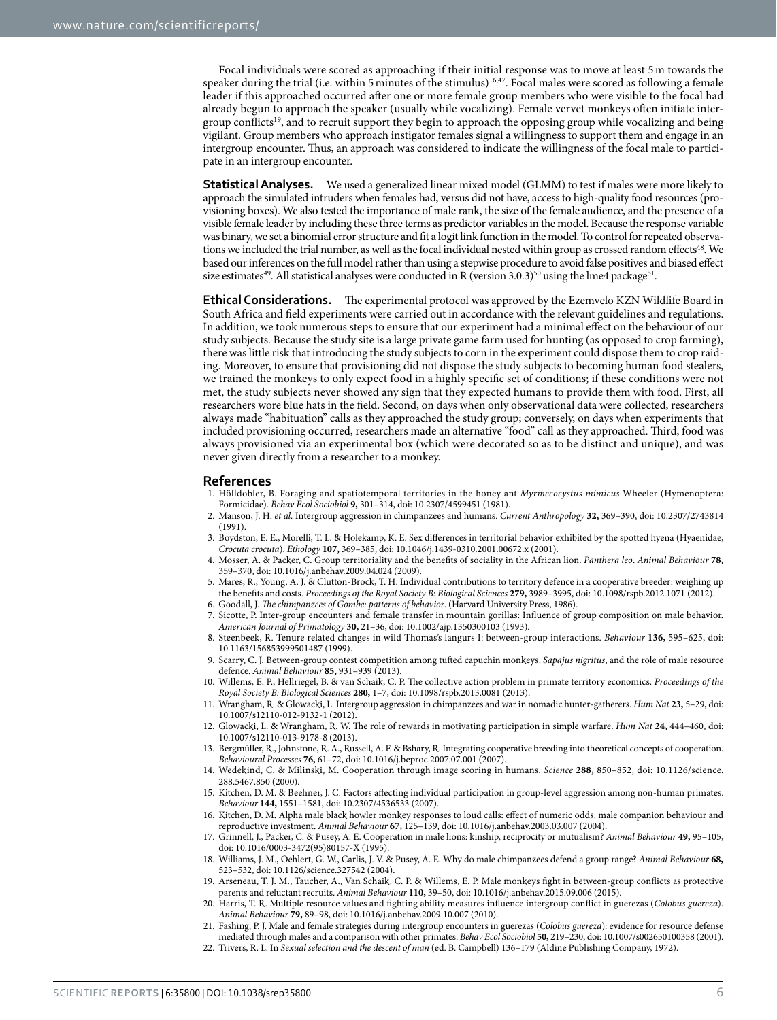Focal individuals were scored as approaching if their initial response was to move at least 5 m towards the speaker during the trial (i.e. within 5 minutes of the stimulus)<sup>[16,](#page-5-12)47</sup>. Focal males were scored as following a female leader if this approached occurred after one or more female group members who were visible to the focal had already begun to approach the speaker (usually while vocalizing). Female vervet monkeys often initiate intergroup conflicts[19](#page-5-11), and to recruit support they begin to approach the opposing group while vocalizing and being vigilant. Group members who approach instigator females signal a willingness to support them and engage in an intergroup encounter. Thus, an approach was considered to indicate the willingness of the focal male to participate in an intergroup encounter.

**Statistical Analyses.** We used a generalized linear mixed model (GLMM) to test if males were more likely to approach the simulated intruders when females had, versus did not have, access to high-quality food resources (provisioning boxes). We also tested the importance of male rank, the size of the female audience, and the presence of a visible female leader by including these three terms as predictor variables in the model. Because the response variable was binary, we set a binomial error structure and fit a logit link function in the model. To control for repeated observations we included the trial number, as well as the focal individual nested within group as crossed random effects<sup>48</sup>. We based our inferences on the full model rather than using a stepwise procedure to avoid false positives and biased effect size estimates<sup>49</sup>. All statistical analyses were conducted in R (version 3.0.3)<sup>50</sup> using the lme4 package<sup>51</sup>.

**Ethical Considerations.** The experimental protocol was approved by the Ezemvelo KZN Wildlife Board in South Africa and field experiments were carried out in accordance with the relevant guidelines and regulations. In addition, we took numerous steps to ensure that our experiment had a minimal effect on the behaviour of our study subjects. Because the study site is a large private game farm used for hunting (as opposed to crop farming), there was little risk that introducing the study subjects to corn in the experiment could dispose them to crop raiding. Moreover, to ensure that provisioning did not dispose the study subjects to becoming human food stealers, we trained the monkeys to only expect food in a highly specific set of conditions; if these conditions were not met, the study subjects never showed any sign that they expected humans to provide them with food. First, all researchers wore blue hats in the field. Second, on days when only observational data were collected, researchers always made "habituation" calls as they approached the study group; conversely, on days when experiments that included provisioning occurred, researchers made an alternative "food" call as they approached. Third, food was always provisioned via an experimental box (which were decorated so as to be distinct and unique), and was never given directly from a researcher to a monkey.

#### **References**

- <span id="page-5-0"></span>1. Hölldobler, B. Foraging and spatiotemporal territories in the honey ant *Myrmecocystus mimicus* Wheeler (Hymenoptera: Formicidae). *Behav Ecol Sociobiol* **9,** 301–314, doi: 10.2307/4599451 (1981).
- 2. Manson, J. H. *et al.* Intergroup aggression in chimpanzees and humans. *Current Anthropology* **32,** 369–390, doi: 10.2307/2743814 (1991).
- <span id="page-5-6"></span>3. Boydston, E. E., Morelli, T. L. & Holekamp, K. E. Sex differences in territorial behavior exhibited by the spotted hyena (Hyaenidae, *Crocuta crocuta*). *Ethology* **107,** 369–385, doi: 10.1046/j.1439-0310.2001.00672.x (2001).
- 4. Mosser, A. & Packer, C. Group territoriality and the benefits of sociality in the African lion. *Panthera leo*. *Animal Behaviour* **78,** 359–370, doi: 10.1016/j.anbehav.2009.04.024 (2009).
- 5. Mares, R., Young, A. J. & Clutton-Brock, T. H. Individual contributions to territory defence in a cooperative breeder: weighing up the benefits and costs. *Proceedings of the Royal Society B: Biological Sciences* **279,** 3989–3995, doi: 10.1098/rspb.2012.1071 (2012).
- <span id="page-5-1"></span>6. Goodall, J. *The chimpanzees of Gombe: patterns of behavior*. (Harvard University Press, 1986).
- 7. Sicotte, P. Inter-group encounters and female transfer in mountain gorillas: Influence of group composition on male behavior. *American Journal of Primatology* **30,** 21–36, doi: 10.1002/ajp.1350300103 (1993).
- 8. Steenbeek, R. Tenure related changes in wild Thomas's langurs I: between-group interactions. *Behaviour* **136,** 595–625, doi: 10.1163/156853999501487 (1999).
- <span id="page-5-8"></span>9. Scarry, C. J. Between-group contest competition among tufted capuchin monkeys, *Sapajus nigritus*, and the role of male resource defence. *Animal Behaviour* **85,** 931–939 (2013).
- 10. Willems, E. P., Hellriegel, B. & van Schaik, C. P. The collective action problem in primate territory economics. *Proceedings of the Royal Society B: Biological Sciences* **280,** 1–7, doi: 10.1098/rspb.2013.0081 (2013).
- <span id="page-5-2"></span>11. Wrangham, R. & Glowacki, L. Intergroup aggression in chimpanzees and war in nomadic hunter-gatherers. *Hum Nat* **23,** 5–29, doi: 10.1007/s12110-012-9132-1 (2012).
- <span id="page-5-3"></span>12. Glowacki, L. & Wrangham, R. W. The role of rewards in motivating participation in simple warfare. *Hum Nat* **24,** 444–460, doi: 10.1007/s12110-013-9178-8 (2013).
- <span id="page-5-4"></span>13. Bergmüller, R., Johnstone, R. A., Russell, A. F. & Bshary, R. Integrating cooperative breeding into theoretical concepts of cooperation. *Behavioural Processes* **76,** 61–72, doi: 10.1016/j.beproc.2007.07.001 (2007).
- <span id="page-5-5"></span>14. Wedekind, C. & Milinski, M. Cooperation through image scoring in humans. *Science* **288,** 850–852, doi: 10.1126/science. 288.5467.850 (2000).
- <span id="page-5-7"></span>15. Kitchen, D. M. & Beehner, J. C. Factors affecting individual participation in group-level aggression among non-human primates. *Behaviour* **144,** 1551–1581, doi: 10.2307/4536533 (2007).
- <span id="page-5-12"></span>16. Kitchen, D. M. Alpha male black howler monkey responses to loud calls: effect of numeric odds, male companion behaviour and reproductive investment. *Animal Behaviour* **67,** 125–139, doi: 10.1016/j.anbehav.2003.03.007 (2004).
- 17. Grinnell, J., Packer, C. & Pusey, A. E. Cooperation in male lions: kinship, reciprocity or mutualism? *Animal Behaviour* **49,** 95–105, doi: 10.1016/0003-3472(95)80157-X (1995).
- <span id="page-5-9"></span>18. Williams, J. M., Oehlert, G. W., Carlis, J. V. & Pusey, A. E. Why do male chimpanzees defend a group range? *Animal Behaviour* **68,** 523–532, doi: 10.1126/science.327542 (2004).
- <span id="page-5-11"></span>19. Arseneau, T. J. M., Taucher, A., Van Schaik, C. P. & Willems, E. P. Male monkeys fight in between-group conflicts as protective parents and reluctant recruits. *Animal Behaviour* **110,** 39–50, doi: 10.1016/j.anbehav.2015.09.006 (2015).
- 20. Harris, T. R. Multiple resource values and fighting ability measures influence intergroup conflict in guerezas (*Colobus guereza*). *Animal Behaviour* **79,** 89–98, doi: 10.1016/j.anbehav.2009.10.007 (2010).
- 21. Fashing, P. J. Male and female strategies during intergroup encounters in guerezas (*Colobus guereza*): evidence for resource defense mediated through males and a comparison with other primates. *Behav Ecol Sociobiol* **50,** 219–230, doi: 10.1007/s002650100358 (2001).
- <span id="page-5-10"></span>22. Trivers, R. L. In *Sexual selection and the descent of man* (ed. B. Campbell) 136–179 (Aldine Publishing Company, 1972).